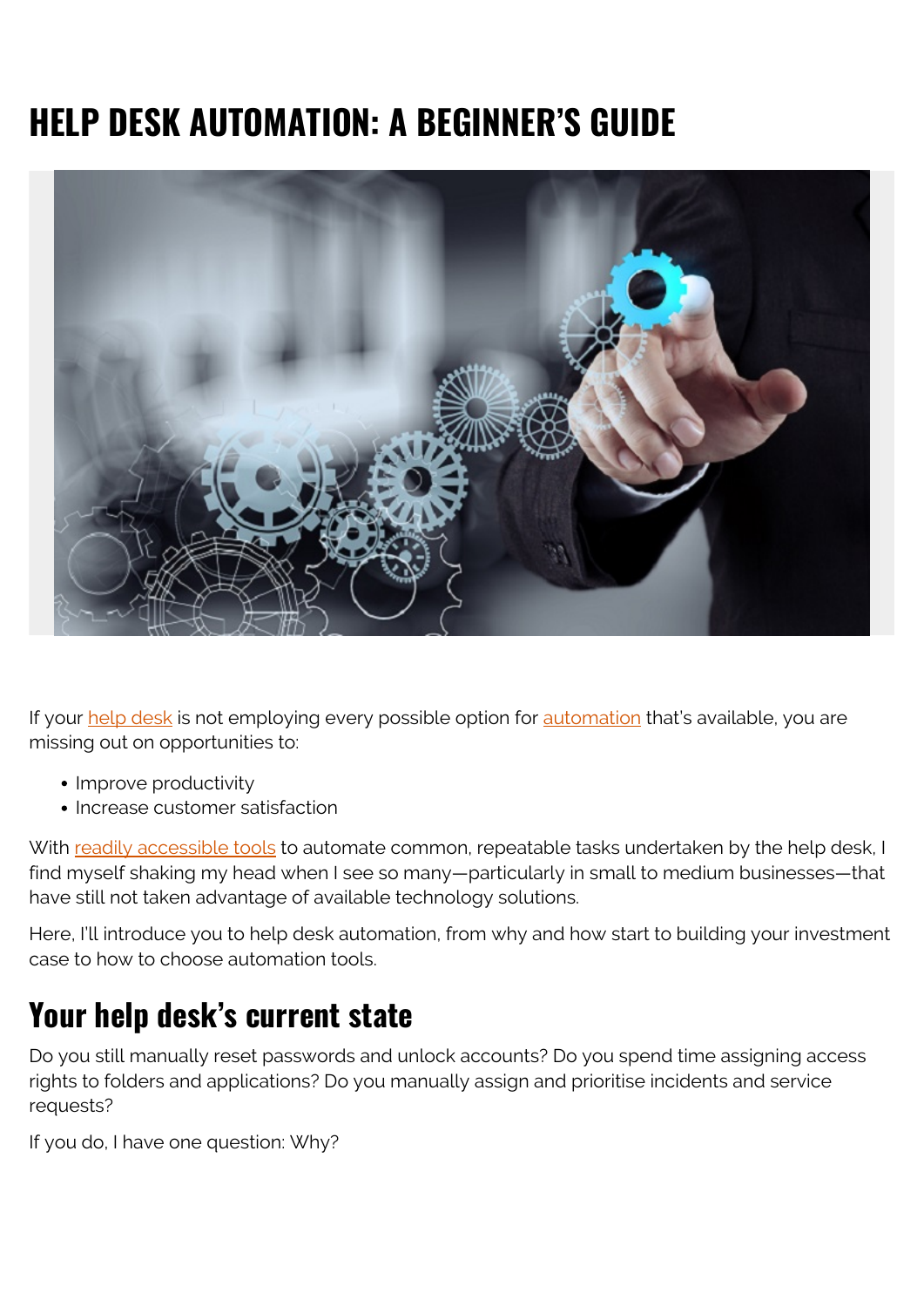# **HELP DESK AUTOMATION: A BEGINNER'S GUIDE**



If your [help desk](https://blogs.bmc.com/blogs/help-desk-vs-service-desk-whats-difference/) is not employing every possible option for [automation](https://blogs.bmc.com/blogs/it-orchestration-vs-automation-whats-the-difference/) that's available, you are missing out on opportunities to:

- Improve productivity
- Increase customer satisfaction

With [readily accessible tools](https://blogs.bmc.com/it-solutions/bmc-helix.html) to automate common, repeatable tasks undertaken by the help desk, I find myself shaking my head when I see so many—particularly in small to medium businesses—that have still not taken advantage of available technology solutions.

Here, I'll introduce you to help desk automation, from why and how start to building your investment case to how to choose automation tools.

## **Your help desk's current state**

Do you still manually reset passwords and unlock accounts? Do you spend time assigning access rights to folders and applications? Do you manually assign and prioritise incidents and service requests?

If you do, I have one question: Why?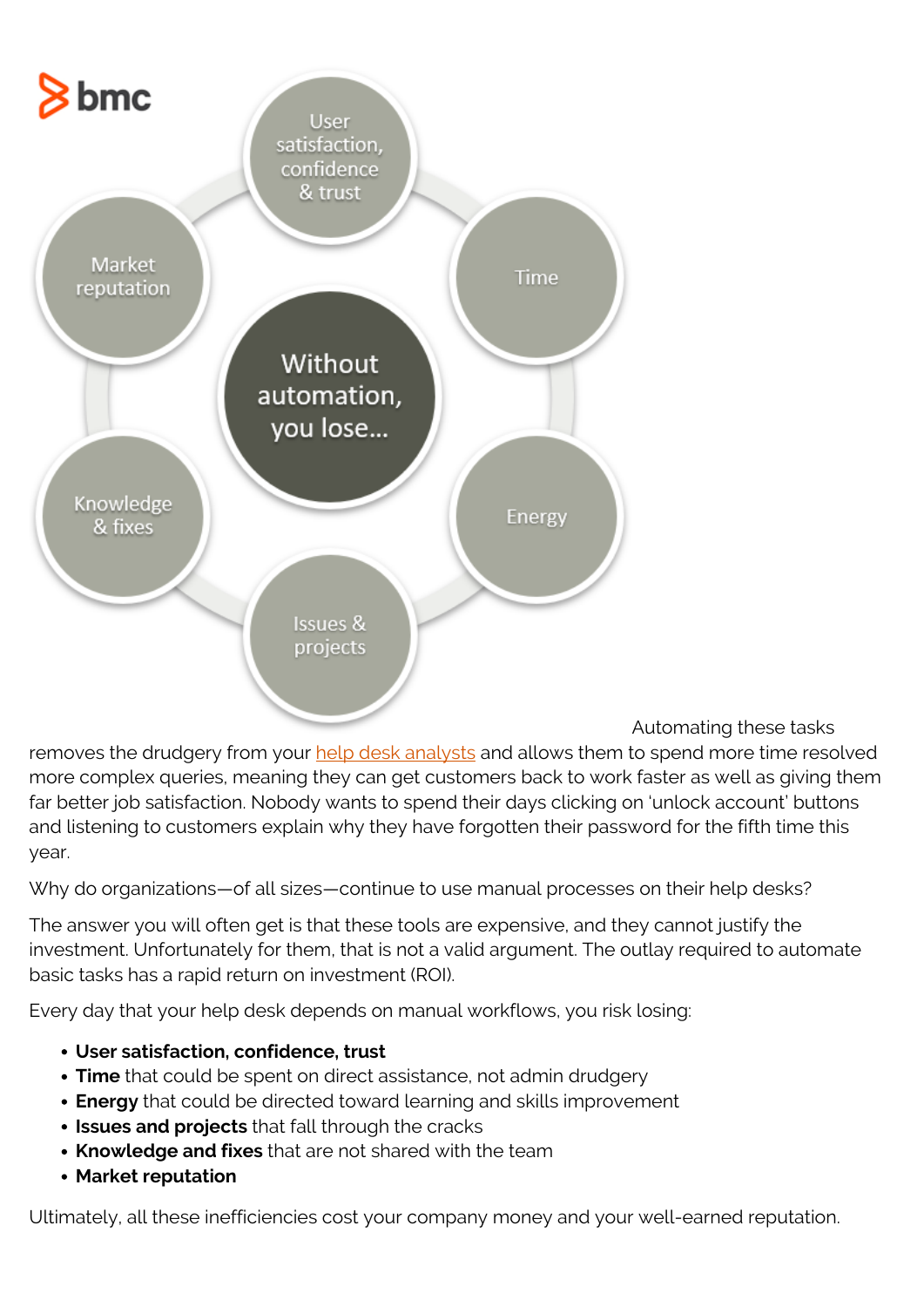

Automating these tasks

removes the drudgery from your [help desk analysts](https://blogs.bmc.com/blogs/service-desk-support-analyst/) and allows them to spend more time resolved more complex queries, meaning they can get customers back to work faster as well as giving them far better job satisfaction. Nobody wants to spend their days clicking on 'unlock account' buttons and listening to customers explain why they have forgotten their password for the fifth time this year.

Why do organizations—of all sizes—continue to use manual processes on their help desks?

The answer you will often get is that these tools are expensive, and they cannot justify the investment. Unfortunately for them, that is not a valid argument. The outlay required to automate basic tasks has a rapid return on investment (ROI).

Every day that your help desk depends on manual workflows, you risk losing:

- **User satisfaction, confidence, trust**
- **Time** that could be spent on direct assistance, not admin drudgery
- **Energy** that could be directed toward learning and skills improvement
- **Issues and projects** that fall through the cracks
- **Knowledge and fixes** that are not shared with the team
- **Market reputation**

Ultimately, all these inefficiencies cost your company money and your well-earned reputation.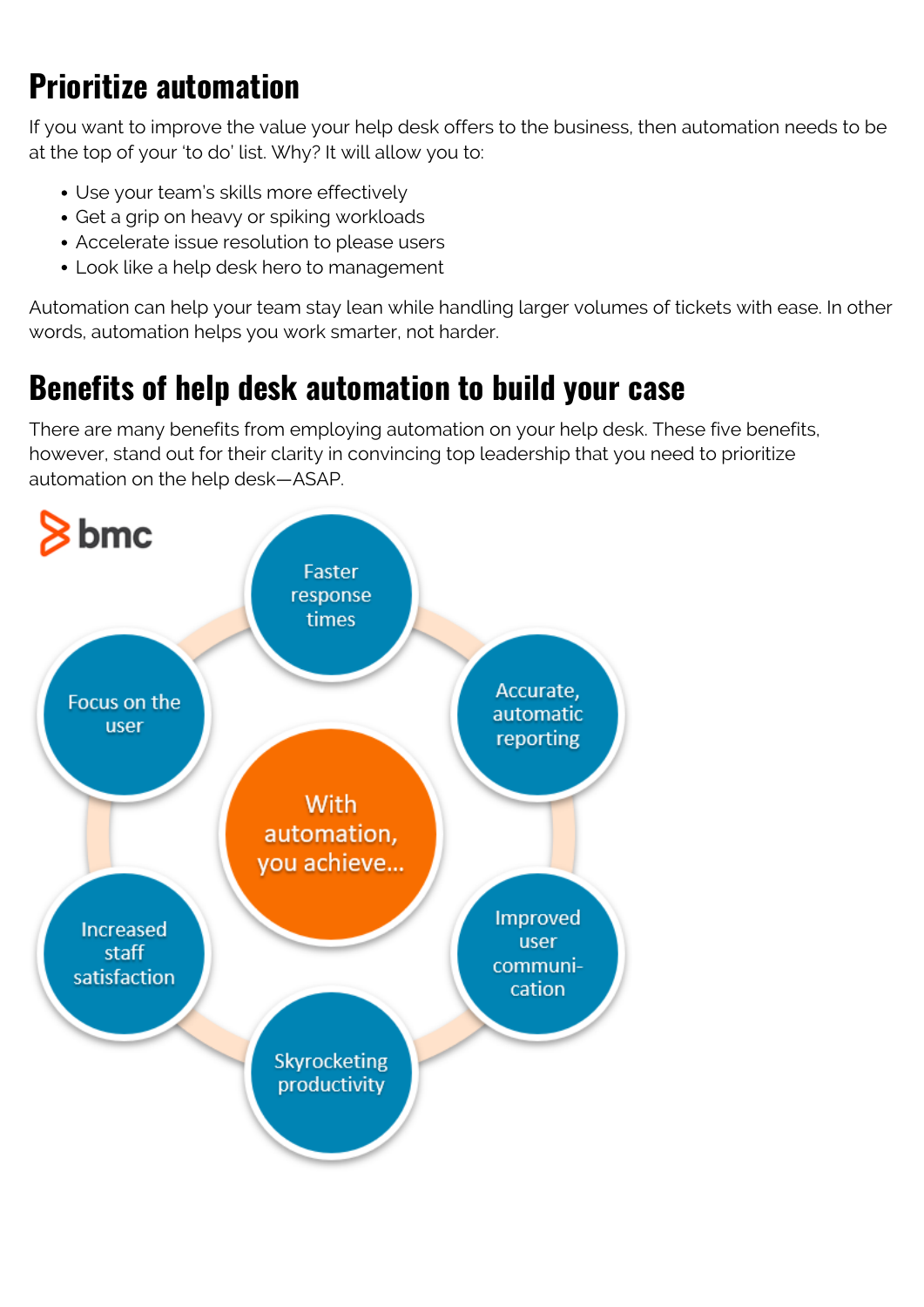## **Prioritize automation**

If you want to improve the value your help desk offers to the business, then automation needs to be at the top of your 'to do' list. Why? It will allow you to:

- Use your team's skills more effectively
- Get a grip on heavy or spiking workloads
- Accelerate issue resolution to please users
- Look like a help desk hero to management

Automation can help your team stay lean while handling larger volumes of tickets with ease. In other words, automation helps you work smarter, not harder.

## **Benefits of help desk automation to build your case**

There are many benefits from employing automation on your help desk. These five benefits, however, stand out for their clarity in convincing top leadership that you need to prioritize automation on the help desk—ASAP.

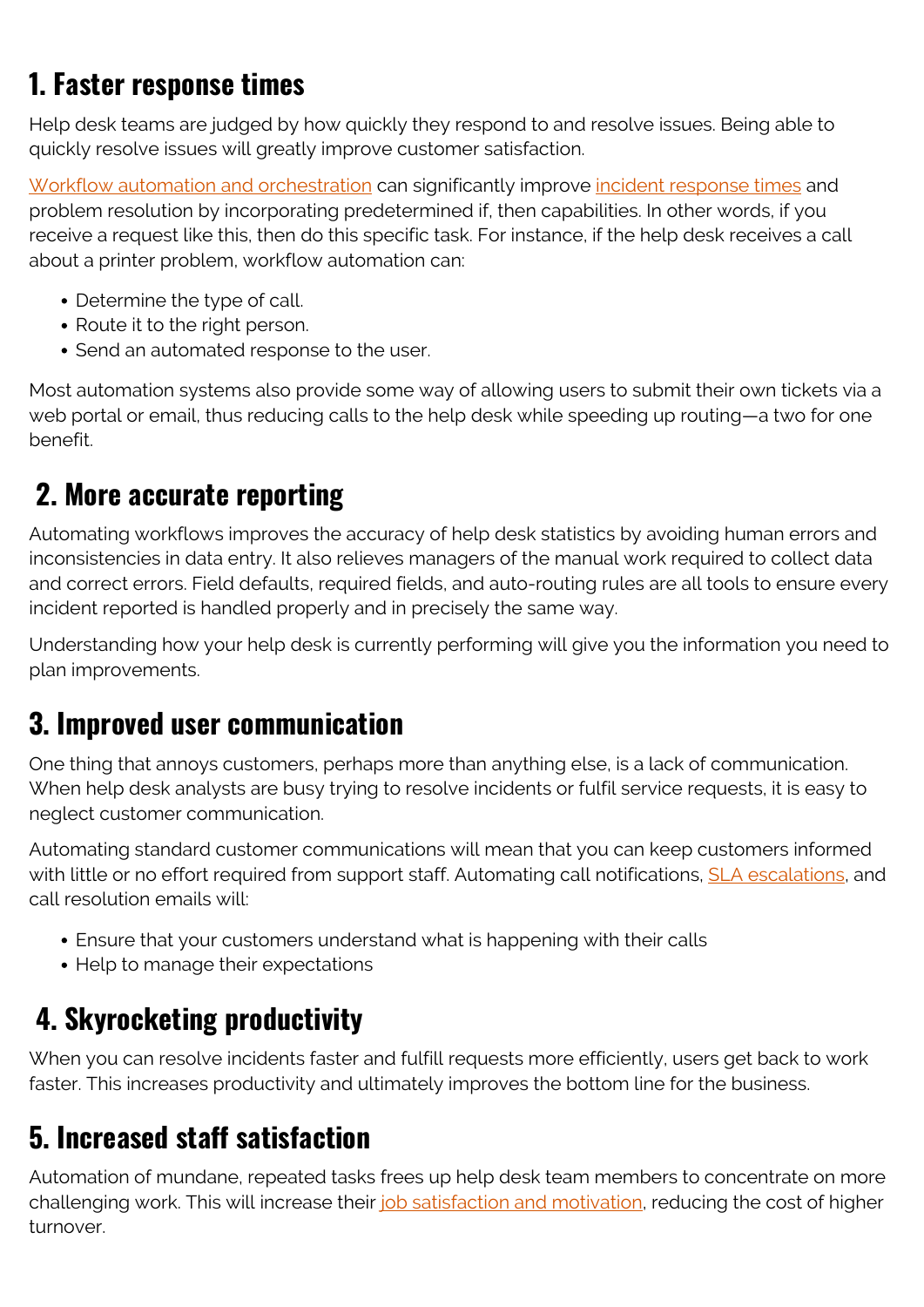## **1. Faster response times**

Help desk teams are judged by how quickly they respond to and resolve issues. Being able to quickly resolve issues will greatly improve customer satisfaction.

[Workflow automation and orchestration](https://blogs.bmc.com/blogs/workflow-orchestration-improves-application-development/) can significantly improve [incident response times](https://blogs.bmc.com/blogs/mtta-mean-time-to-acknowledge/) and problem resolution by incorporating predetermined if, then capabilities. In other words, if you receive a request like this, then do this specific task. For instance, if the help desk receives a call about a printer problem, workflow automation can:

- Determine the type of call.
- Route it to the right person.
- Send an automated response to the user.

Most automation systems also provide some way of allowing users to submit their own tickets via a web portal or email, thus reducing calls to the help desk while speeding up routing—a two for one benefit.

## **2. More accurate reporting**

Automating workflows improves the accuracy of help desk statistics by avoiding human errors and inconsistencies in data entry. It also relieves managers of the manual work required to collect data and correct errors. Field defaults, required fields, and auto-routing rules are all tools to ensure every incident reported is handled properly and in precisely the same way.

Understanding how your help desk is currently performing will give you the information you need to plan improvements.

#### **3. Improved user communication**

One thing that annoys customers, perhaps more than anything else, is a lack of communication. When help desk analysts are busy trying to resolve incidents or fulfil service requests, it is easy to neglect customer communication.

Automating standard customer communications will mean that you can keep customers informed with little or no effort required from support staff. Automating call notifications, **[SLA escalations](https://www.bmc.com/blogs/support-levels-level-1-level-2-level-3/)**, and call resolution emails will:

- Ensure that your customers understand what is happening with their calls
- Help to manage their expectations

#### **4. Skyrocketing productivity**

When you can resolve incidents faster and fulfill requests more efficiently, users get back to work faster. This increases productivity and ultimately improves the bottom line for the business.

#### **5. Increased staff satisfaction**

Automation of mundane, repeated tasks frees up help desk team members to concentrate on more challenging work. This will increase their [job satisfaction and motivation](https://blogs.bmc.com/blogs/agent-satisfaction-service-desk/), reducing the cost of higher turnover.